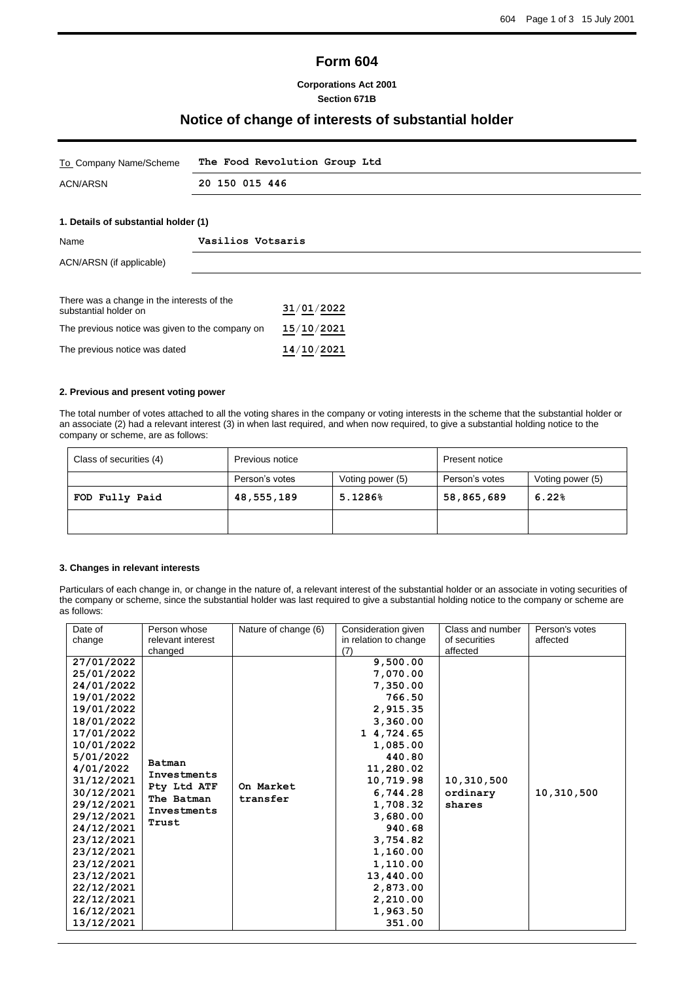# **Form 604**

## **Corporations Act 2001 Section 671B**

# **Notice of change of interests of substantial holder**

| To Company Name/Scheme                                              |                   | The Food Revolution Group Ltd |  |  |
|---------------------------------------------------------------------|-------------------|-------------------------------|--|--|
| ACN/ARSN                                                            | 20 150 015 446    |                               |  |  |
|                                                                     |                   |                               |  |  |
| 1. Details of substantial holder (1)                                |                   |                               |  |  |
| Name                                                                | Vasilios Votsaris |                               |  |  |
| ACN/ARSN (if applicable)                                            |                   |                               |  |  |
|                                                                     |                   |                               |  |  |
| There was a change in the interests of the<br>substantial holder on |                   | 31/01/2022                    |  |  |
| The previous notice was given to the company on                     |                   | 15/10/2021                    |  |  |
| The previous notice was dated                                       |                   | 14/10/2021                    |  |  |

#### **2. Previous and present voting power**

The total number of votes attached to all the voting shares in the company or voting interests in the scheme that the substantial holder or an associate (2) had a relevant interest (3) in when last required, and when now required, to give a substantial holding notice to the company or scheme, are as follows:

| Class of securities (4) | Previous notice |                  | Present notice |                  |
|-------------------------|-----------------|------------------|----------------|------------------|
|                         | Person's votes  | Voting power (5) | Person's votes | Voting power (5) |
| FOD Fully Paid          | 48,555,189      | 5.1286%          | 58,865,689     | 6.22%            |
|                         |                 |                  |                |                  |

#### **3. Changes in relevant interests**

Particulars of each change in, or change in the nature of, a relevant interest of the substantial holder or an associate in voting securities of the company or scheme, since the substantial holder was last required to give a substantial holding notice to the company or scheme are as follows:

| Date of    | Person whose              | Nature of change (6) | Consideration given   | Class and number | Person's votes |
|------------|---------------------------|----------------------|-----------------------|------------------|----------------|
| change     | relevant interest         |                      | in relation to change | of securities    | affected       |
|            | changed                   |                      | (7)                   | affected         |                |
| 27/01/2022 |                           |                      | 9,500.00              |                  |                |
| 25/01/2022 |                           |                      | 7,070.00              |                  |                |
| 24/01/2022 |                           |                      | 7,350.00              |                  |                |
| 19/01/2022 |                           |                      | 766.50                |                  |                |
| 19/01/2022 |                           |                      | 2,915.35              |                  |                |
| 18/01/2022 |                           |                      | 3,360.00              |                  |                |
| 17/01/2022 |                           |                      | 1 4,724.65            |                  |                |
| 10/01/2022 |                           |                      | 1,085.00              |                  |                |
| 5/01/2022  | <b>Batman</b>             |                      | 440.80                |                  |                |
| 4/01/2022  | Investments               |                      | 11,280.02             |                  |                |
| 31/12/2021 |                           | On Market            | 10,719.98             | 10,310,500       |                |
| 30/12/2021 | Pty Ltd ATF<br>The Batman | transfer             | 6,744.28              | ordinary         | 10,310,500     |
| 29/12/2021 | Investments               |                      | 1,708.32              | shares           |                |
| 29/12/2021 | Trust                     |                      | 3,680.00              |                  |                |
| 24/12/2021 |                           |                      | 940.68                |                  |                |
| 23/12/2021 |                           |                      | 3,754.82              |                  |                |
| 23/12/2021 |                           |                      | 1,160.00              |                  |                |
| 23/12/2021 |                           |                      | 1,110.00              |                  |                |
| 23/12/2021 |                           |                      | 13,440.00             |                  |                |
| 22/12/2021 |                           |                      | 2,873.00              |                  |                |
| 22/12/2021 |                           |                      | 2,210.00              |                  |                |
| 16/12/2021 |                           |                      | 1,963.50              |                  |                |
| 13/12/2021 |                           |                      | 351.00                |                  |                |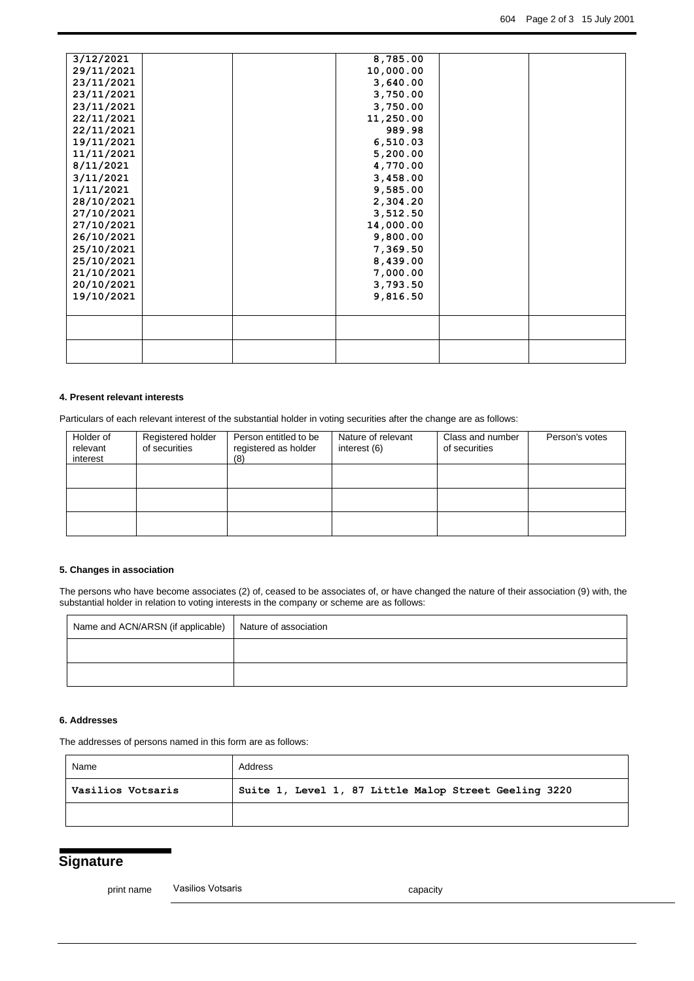| 3/12/2021  | 8,785.00  |  |
|------------|-----------|--|
| 29/11/2021 | 10,000.00 |  |
| 23/11/2021 | 3,640.00  |  |
| 23/11/2021 | 3,750.00  |  |
| 23/11/2021 | 3,750.00  |  |
| 22/11/2021 | 11,250.00 |  |
| 22/11/2021 | 989.98    |  |
| 19/11/2021 | 6,510.03  |  |
| 11/11/2021 | 5,200.00  |  |
| 8/11/2021  | 4,770.00  |  |
| 3/11/2021  | 3,458.00  |  |
| 1/11/2021  | 9,585.00  |  |
| 28/10/2021 | 2,304.20  |  |
| 27/10/2021 | 3,512.50  |  |
| 27/10/2021 | 14,000.00 |  |
| 26/10/2021 | 9,800.00  |  |
| 25/10/2021 | 7,369.50  |  |
| 25/10/2021 | 8,439.00  |  |
| 21/10/2021 | 7,000.00  |  |
| 20/10/2021 | 3,793.50  |  |
| 19/10/2021 | 9,816.50  |  |
|            |           |  |
|            |           |  |
|            |           |  |
|            |           |  |
|            |           |  |
|            |           |  |

#### **4. Present relevant interests**

Particulars of each relevant interest of the substantial holder in voting securities after the change are as follows:

| Holder of<br>relevant<br>interest | Registered holder<br>of securities | Person entitled to be<br>registered as holder<br>(8) | Nature of relevant<br>interest (6) | Class and number<br>of securities | Person's votes |
|-----------------------------------|------------------------------------|------------------------------------------------------|------------------------------------|-----------------------------------|----------------|
|                                   |                                    |                                                      |                                    |                                   |                |
|                                   |                                    |                                                      |                                    |                                   |                |
|                                   |                                    |                                                      |                                    |                                   |                |

## **5. Changes in association**

The persons who have become associates (2) of, ceased to be associates of, or have changed the nature of their association (9) with, the substantial holder in relation to voting interests in the company or scheme are as follows:

| Name and ACN/ARSN (if applicable) | Nature of association |
|-----------------------------------|-----------------------|
|                                   |                       |
|                                   |                       |

### **6. Addresses**

The addresses of persons named in this form are as follows:

| Name              | Address                                               |
|-------------------|-------------------------------------------------------|
| Vasilios Votsaris | Suite 1, Level 1, 87 Little Malop Street Geeling 3220 |
|                   |                                                       |

# **Signature**

print name Vasilios Votsaris capacity